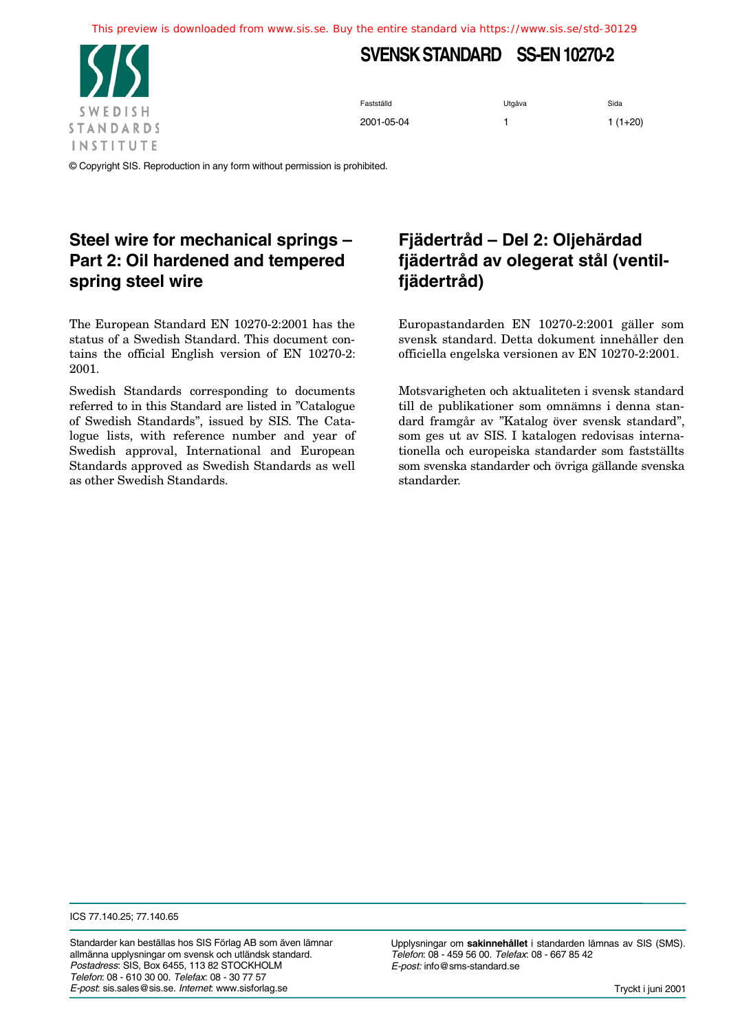This preview is downloaded from www.sis.se. Buy the entire standard via https://www.sis.se/std-30129



# **SVENSK STANDARD SS-EN 10270-2**

Fastställd Sida Utgåva Sida 2001-05-04 1 1 (1+20)

© Copyright SIS. Reproduction in any form without permission is prohibited.

# **Steel wire for mechanical springs – Part 2: Oil hardened and tempered spring steel wire**

The European Standard EN 10270-2:2001 has the status of a Swedish Standard. This document contains the official English version of EN 10270-2: 2001.

Swedish Standards corresponding to documents referred to in this Standard are listed in "Catalogue of Swedish Standards", issued by SIS. The Catalogue lists, with reference number and year of Swedish approval, International and European Standards approved as Swedish Standards as well as other Swedish Standards.

# **Fjädertråd – Del 2: Oljehärdad fjädertråd av olegerat stål (ventilfjädertråd)**

Europastandarden EN 10270-2:2001 gäller som svensk standard. Detta dokument innehåller den officiella engelska versionen av EN 10270-2:2001.

Motsvarigheten och aktualiteten i svensk standard till de publikationer som omnämns i denna standard framgår av "Katalog över svensk standard", som ges ut av SIS. I katalogen redovisas internationella och europeiska standarder som fastställts som svenska standarder och övriga gällande svenska standarder.

ICS 77.140.25; 77.140.65

Standarder kan beställas hos SIS Förlag AB som även lämnar allmänna upplysningar om svensk och utländsk standard. Postadress: SIS, Box 6455, 113 82 STOCKHOLM Telefon: 08 - 610 30 00. Telefax: 08 - 30 77 57 E-post: sis.sales@sis.se. Internet: www.sisforlag.se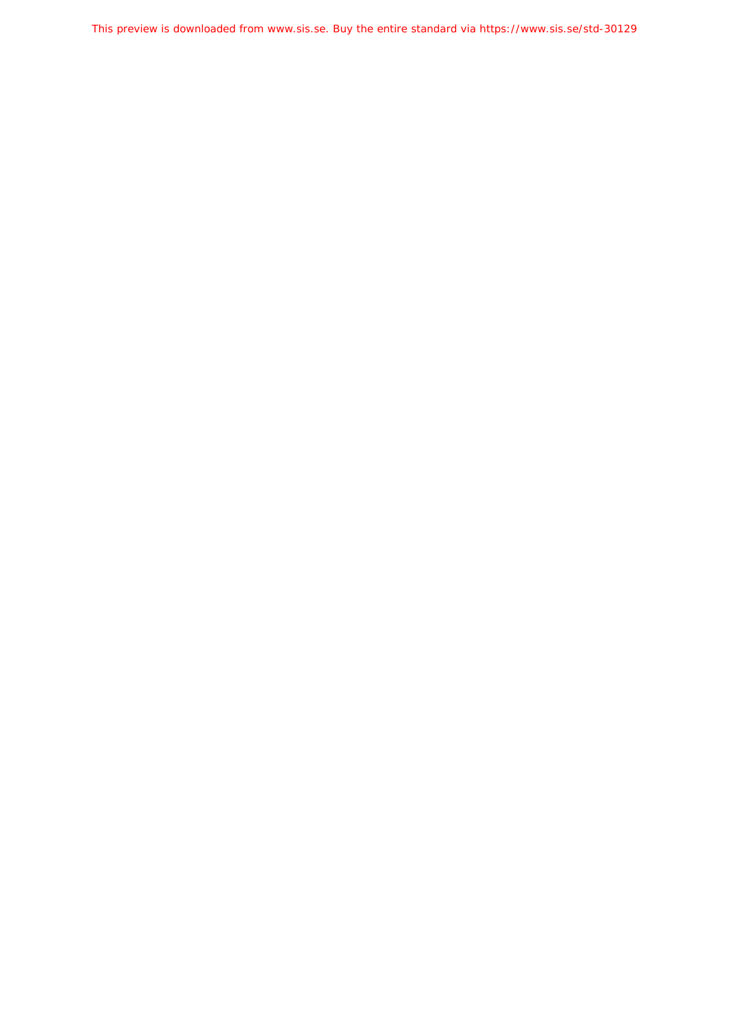This preview is downloaded from www.sis.se. Buy the entire standard via https://www.sis.se/std-30129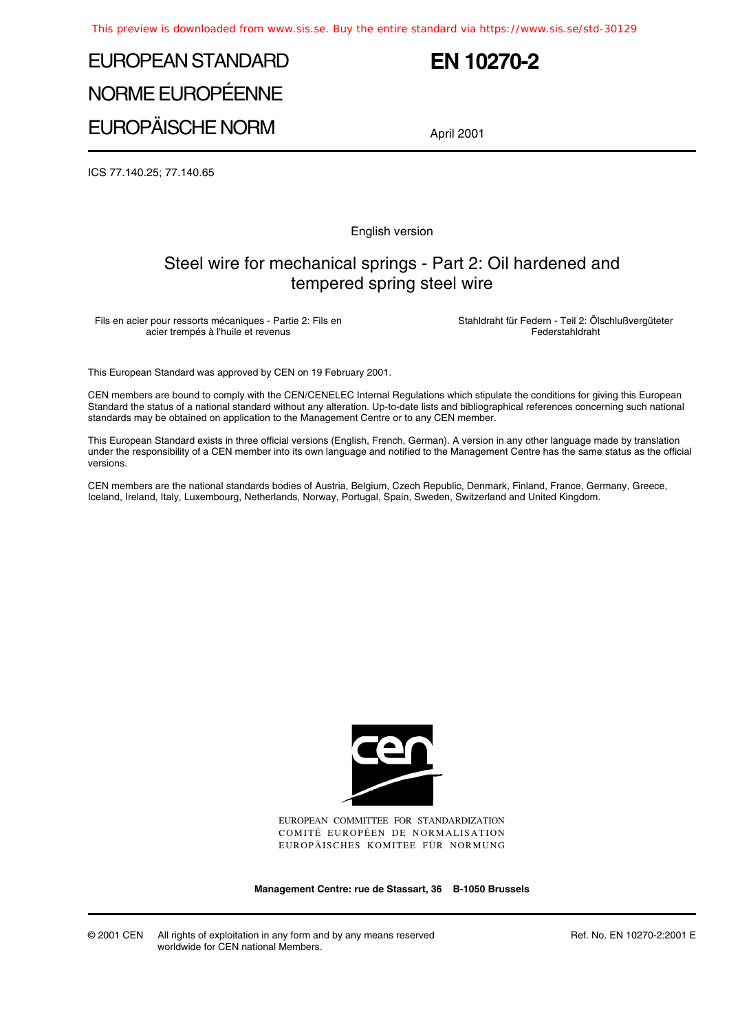# EUROPEAN STANDARD NORME EUROPÉENNE EUROPÄISCHE NORM

# **EN 10270-2**

April 2001

ICS 77.140.25; 77.140.65

English version

# Steel wire for mechanical springs - Part 2: Oil hardened and tempered spring steel wire

Fils en acier pour ressorts mécaniques - Partie 2: Fils en acier trempés à l'huile et revenus

Stahldraht für Federn - Teil 2: Ölschlußvergüteter Federstahldraht

This European Standard was approved by CEN on 19 February 2001.

CEN members are bound to comply with the CEN/CENELEC Internal Regulations which stipulate the conditions for giving this European Standard the status of a national standard without any alteration. Up-to-date lists and bibliographical references concerning such national standards may be obtained on application to the Management Centre or to any CEN member.

This European Standard exists in three official versions (English, French, German). A version in any other language made by translation under the responsibility of a CEN member into its own language and notified to the Management Centre has the same status as the official versions.

CEN members are the national standards bodies of Austria, Belgium, Czech Republic, Denmark, Finland, France, Germany, Greece, Iceland, Ireland, Italy, Luxembourg, Netherlands, Norway, Portugal, Spain, Sweden, Switzerland and United Kingdom.



EUROPEAN COMMITTEE FOR STANDARDIZATION COMITÉ EUROPÉEN DE NORMALISATION EUROPÄISCHES KOMITEE FÜR NORMUNG

**Management Centre: rue de Stassart, 36 B-1050 Brussels**

© 2001 CEN All rights of exploitation in any form and by any means reserved worldwide for CEN national Members.

Ref. No. EN 10270-2:2001 E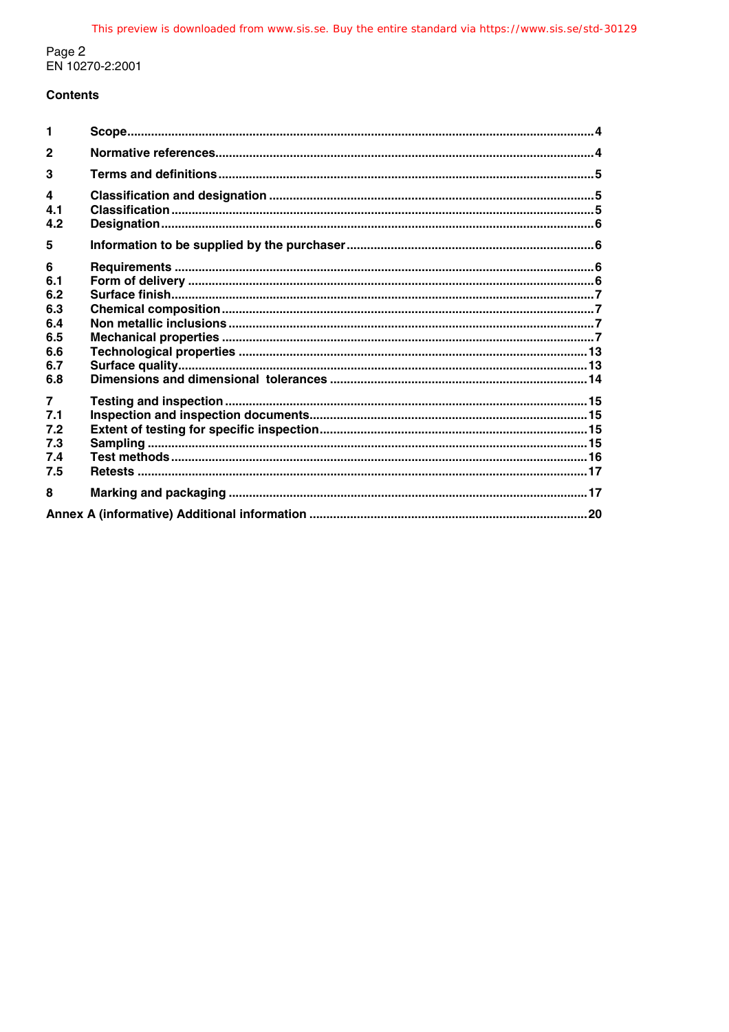Page 2<br>EN 10270-2:2001

# **Contents**

| $\mathbf{2}$                 |  |
|------------------------------|--|
| 3                            |  |
| 4<br>41<br>4.2               |  |
| 5                            |  |
| 6                            |  |
| 6.1<br>6.2<br>6.3            |  |
| 6.4<br>6.5                   |  |
| 6.6<br>6.7                   |  |
| 6.8                          |  |
| $\overline{7}$<br>7.1<br>7.2 |  |
| 7.3<br>7.4                   |  |
| 7.5                          |  |
| 8                            |  |
|                              |  |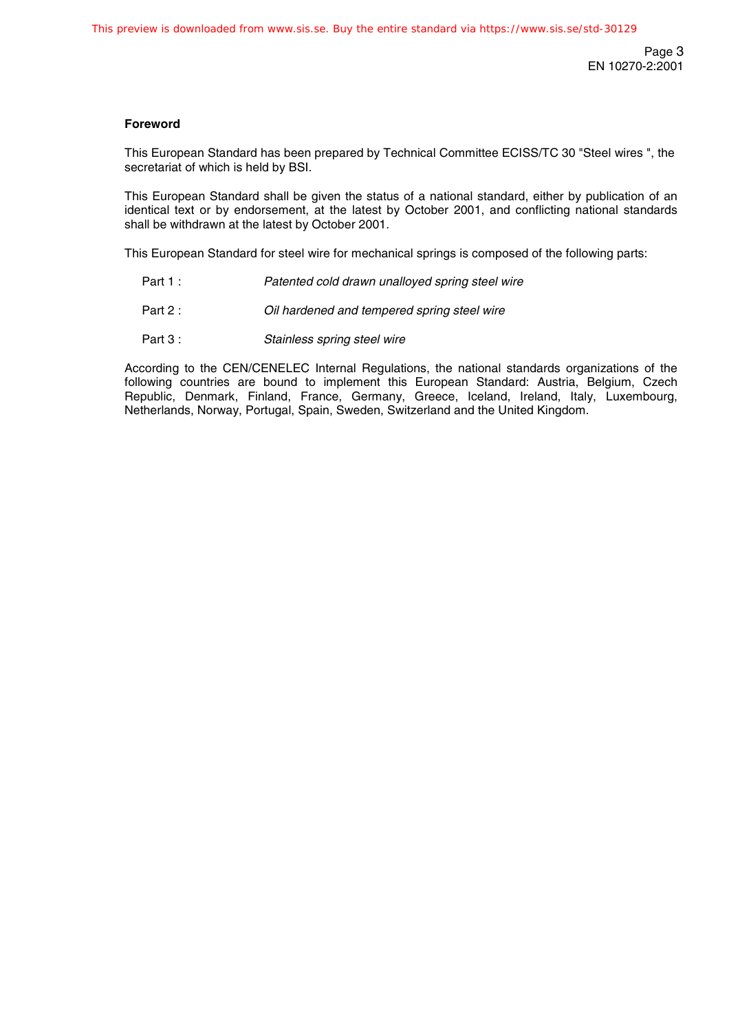### **Foreword**

This European Standard has been prepared by Technical Committee ECISS/TC 30 "Steel wires ", the secretariat of which is held by BSI.

This European Standard shall be given the status of a national standard, either by publication of an identical text or by endorsement, at the latest by October 2001, and conflicting national standards shall be withdrawn at the latest by October 2001.

This European Standard for steel wire for mechanical springs is composed of the following parts:

- Part 1 : Patented cold drawn unalloyed spring steel wire
- Part 2 : Cil hardened and tempered spring steel wire
- Part 3 : Stainless spring steel wire

According to the CEN/CENELEC Internal Regulations, the national standards organizations of the following countries are bound to implement this European Standard: Austria, Belgium, Czech Republic, Denmark, Finland, France, Germany, Greece, Iceland, Ireland, Italy, Luxembourg, Netherlands, Norway, Portugal, Spain, Sweden, Switzerland and the United Kingdom.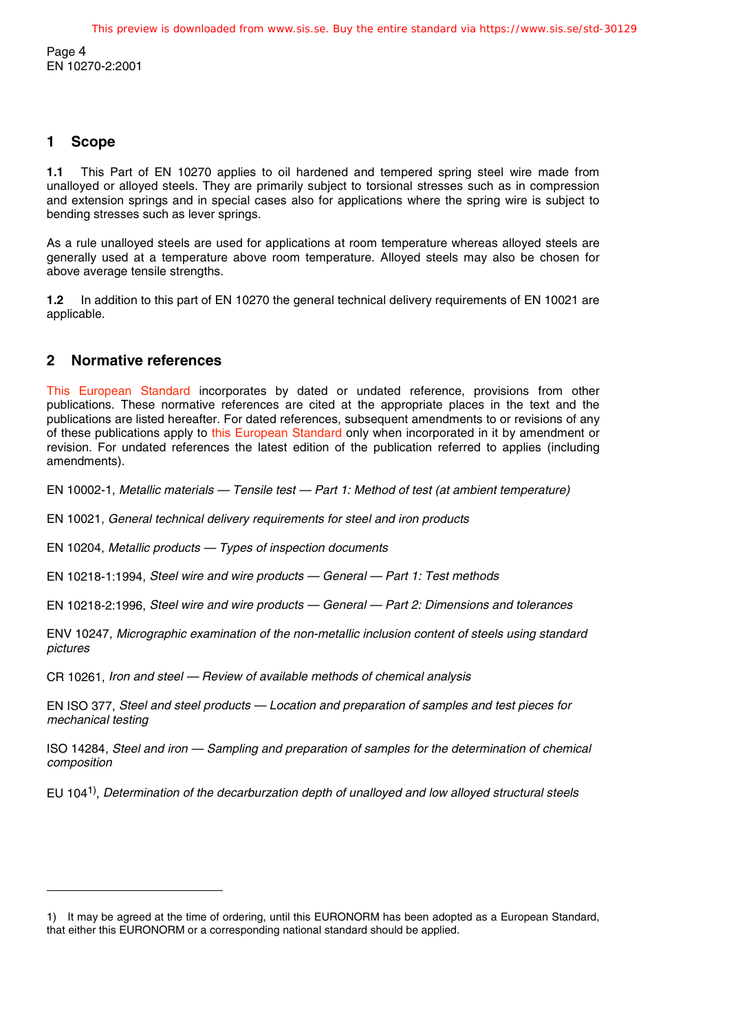Page 4 EN 10270-2:2001

## **1 Scope**

-

**1.1** This Part of EN 10270 applies to oil hardened and tempered spring steel wire made from unalloyed or alloyed steels. They are primarily subject to torsional stresses such as in compression and extension springs and in special cases also for applications where the spring wire is subject to bending stresses such as lever springs.

As a rule unalloyed steels are used for applications at room temperature whereas alloyed steels are generally used at a temperature above room temperature. Alloyed steels may also be chosen for above average tensile strengths.

**1.2** In addition to this part of EN 10270 the general technical delivery requirements of EN 10021 are applicable.

# **2 Normative references**

This European Standard incorporates by dated or undated reference, provisions from other publications. These normative references are cited at the appropriate places in the text and the publications are listed hereafter. For dated references, subsequent amendments to or revisions of any of these publications apply to this European Standard only when incorporated in it by amendment or revision. For undated references the latest edition of the publication referred to applies (including amendments).

EN 10002-1, Metallic materials — Tensile test — Part 1: Method of test (at ambient temperature)

EN 10021, General technical delivery requirements for steel and iron products

EN 10204, Metallic products — Types of inspection documents

EN 10218-1:1994, Steel wire and wire products — General — Part 1: Test methods

EN 10218-2:1996, Steel wire and wire products — General — Part 2: Dimensions and tolerances

ENV 10247, Micrographic examination of the non-metallic inclusion content of steels using standard pictures

CR 10261, Iron and steel — Review of available methods of chemical analysis

EN ISO 377, Steel and steel products — Location and preparation of samples and test pieces for mechanical testing

ISO 14284, Steel and iron — Sampling and preparation of samples for the determination of chemical composition

EU 1041), Determination of the decarburzation depth of unalloyed and low alloyed structural steels

<sup>1)</sup> It may be agreed at the time of ordering, until this EURONORM has been adopted as a European Standard, that either this EURONORM or a corresponding national standard should be applied.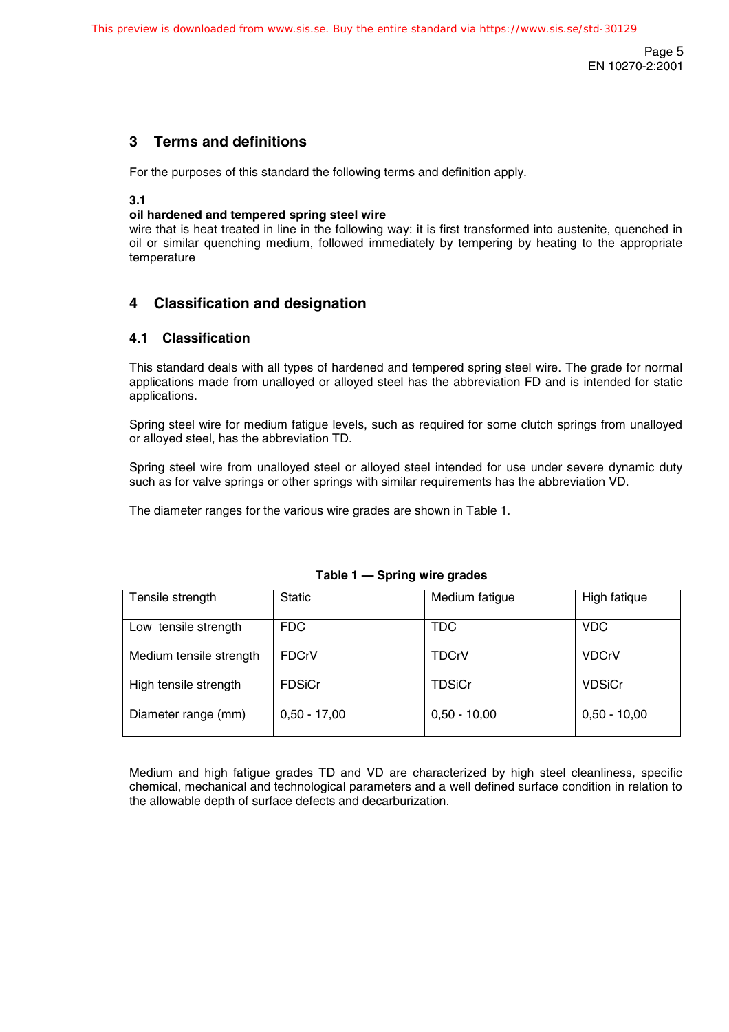Page 5 EN 10270-2:2001

# **3 Terms and definitions**

For the purposes of this standard the following terms and definition apply.

#### **3.1**

#### **oil hardened and tempered spring steel wire**

wire that is heat treated in line in the following way: it is first transformed into austenite, quenched in oil or similar quenching medium, followed immediately by tempering by heating to the appropriate temperature

# **4 Classification and designation**

### **4.1 Classification**

This standard deals with all types of hardened and tempered spring steel wire. The grade for normal applications made from unalloyed or alloyed steel has the abbreviation FD and is intended for static applications.

Spring steel wire for medium fatigue levels, such as required for some clutch springs from unalloyed or alloyed steel, has the abbreviation TD.

Spring steel wire from unalloyed steel or alloyed steel intended for use under severe dynamic duty such as for valve springs or other springs with similar requirements has the abbreviation VD.

The diameter ranges for the various wire grades are shown in Table 1.

| Tensile strength        | <b>Static</b>  | Medium fatigue | High fatique   |
|-------------------------|----------------|----------------|----------------|
| Low tensile strength    | <b>FDC</b>     | <b>TDC</b>     | <b>VDC</b>     |
| Medium tensile strength | FDCrV          | <b>TDCrV</b>   | <b>VDCrV</b>   |
| High tensile strength   | <b>FDSiCr</b>  | <b>TDSiCr</b>  | <b>VDSiCr</b>  |
| Diameter range (mm)     | $0,50 - 17,00$ | $0,50 - 10,00$ | $0,50 - 10,00$ |

#### **Table 1 — Spring wire grades**

Medium and high fatigue grades TD and VD are characterized by high steel cleanliness, specific chemical, mechanical and technological parameters and a well defined surface condition in relation to the allowable depth of surface defects and decarburization.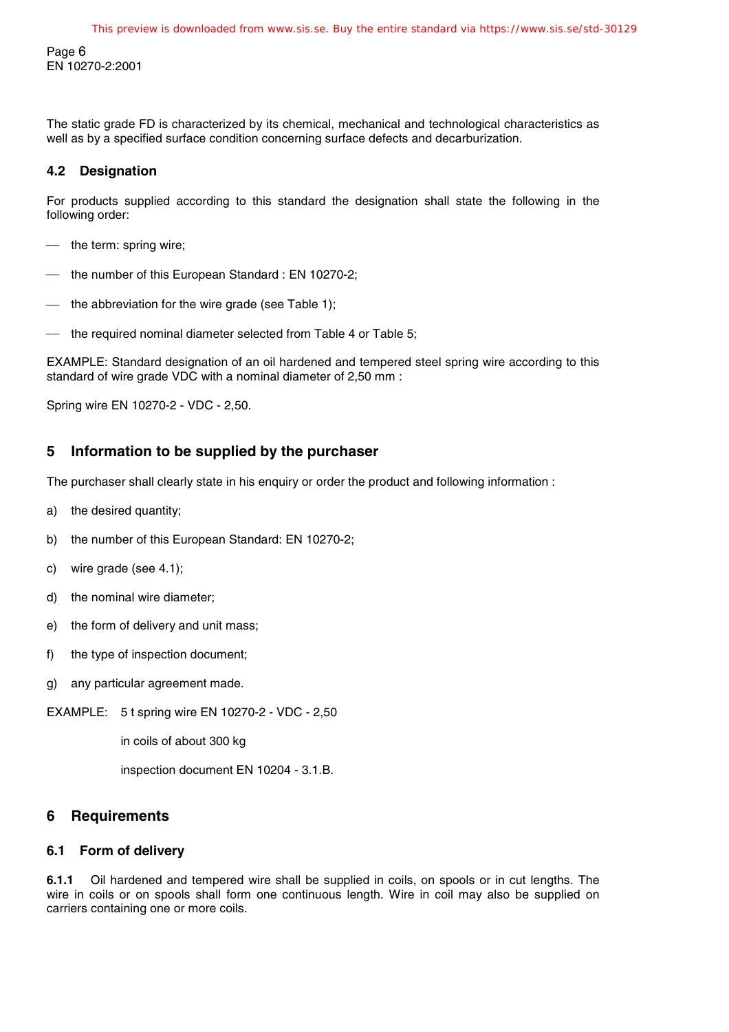Page 6 EN 10270-2:2001

The static grade FD is characterized by its chemical, mechanical and technological characteristics as well as by a specified surface condition concerning surface defects and decarburization.

#### **4.2 Designation**

For products supplied according to this standard the designation shall state the following in the following order:

- the term: spring wire;
- the number of this European Standard : EN 10270-2;
- $-$  the abbreviation for the wire grade (see Table 1);
- the required nominal diameter selected from Table 4 or Table 5;

EXAMPLE: Standard designation of an oil hardened and tempered steel spring wire according to this standard of wire grade VDC with a nominal diameter of 2,50 mm :

Spring wire EN 10270-2 - VDC - 2,50.

## **5 Information to be supplied by the purchaser**

The purchaser shall clearly state in his enquiry or order the product and following information :

- a) the desired quantity;
- b) the number of this European Standard: EN 10270-2;
- c) wire grade (see 4.1);
- d) the nominal wire diameter;
- e) the form of delivery and unit mass;
- f) the type of inspection document;
- g) any particular agreement made.
- EXAMPLE: 5 t spring wire EN 10270-2 VDC 2,50

in coils of about 300 kg

inspection document EN 10204 - 3.1.B.

#### **6 Requirements**

# **6.1 Form of delivery**

**6.1.1** Oil hardened and tempered wire shall be supplied in coils, on spools or in cut lengths. The wire in coils or on spools shall form one continuous length. Wire in coil may also be supplied on carriers containing one or more coils.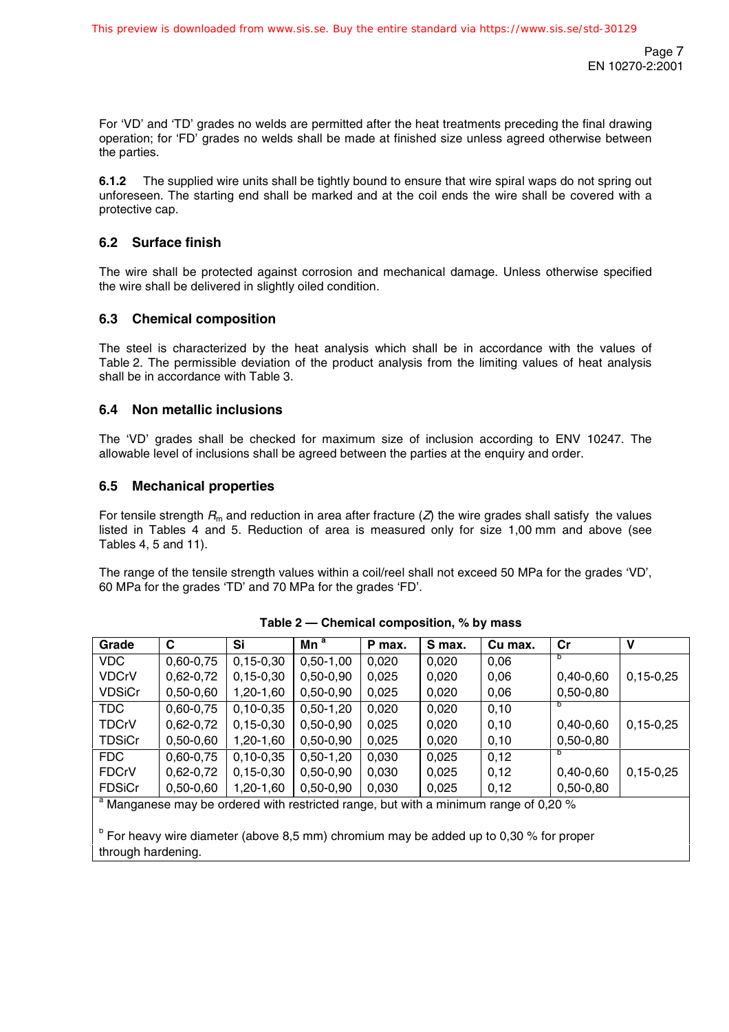For 'VD' and 'TD' grades no welds are permitted after the heat treatments preceding the final drawing operation; for 'FD' grades no welds shall be made at finished size unless agreed otherwise between the parties.

**6.1.2** The supplied wire units shall be tightly bound to ensure that wire spiral waps do not spring out unforeseen. The starting end shall be marked and at the coil ends the wire shall be covered with a protective cap.

# **6.2 Surface finish**

The wire shall be protected against corrosion and mechanical damage. Unless otherwise specified the wire shall be delivered in slightly oiled condition.

# **6.3 Chemical composition**

The steel is characterized by the heat analysis which shall be in accordance with the values of Table 2. The permissible deviation of the product analysis from the limiting values of heat analysis shall be in accordance with Table 3.

# **6.4 Non metallic inclusions**

The 'VD' grades shall be checked for maximum size of inclusion according to ENV 10247. The allowable level of inclusions shall be agreed between the parties at the enquiry and order.

# **6.5 Mechanical properties**

For tensile strength  $R_m$  and reduction in area after fracture ( $Z$ ) the wire grades shall satisfy the values listed in Tables 4 and 5. Reduction of area is measured only for size 1,00 mm and above (see Tables 4, 5 and 11).

The range of the tensile strength values within a coil/reel shall not exceed 50 MPa for the grades 'VD', 60 MPa for the grades 'TD' and 70 MPa for the grades 'FD'.

| Grade                                                                              | C           | Si              | Mn <sup>a</sup> | P max. | S max. | Cu max.                                                                                           | Cr          | V               |
|------------------------------------------------------------------------------------|-------------|-----------------|-----------------|--------|--------|---------------------------------------------------------------------------------------------------|-------------|-----------------|
| <b>VDC</b>                                                                         | $0,60-0,75$ | $0, 15 - 0, 30$ | $0,50-1,00$     | 0.020  | 0,020  | 0,06                                                                                              | b           |                 |
| <b>VDCrV</b>                                                                       | $0,62-0,72$ | $0, 15 - 0, 30$ | $0,50-0,90$     | 0,025  | 0,020  | 0,06                                                                                              | $0,40-0,60$ | $0, 15 - 0, 25$ |
| <b>VDSiCr</b>                                                                      | $0,50-0,60$ | 1,20-1,60       | $0,50-0,90$     | 0,025  | 0,020  | 0.06                                                                                              | $0,50-0,80$ |                 |
| <b>TDC</b>                                                                         | $0,60-0,75$ | $0.10 - 0.35$   | $0,50-1,20$     | 0,020  | 0,020  | 0,10                                                                                              | b           |                 |
| <b>TDCrV</b>                                                                       | $0,62-0,72$ | $0, 15 - 0, 30$ | $0,50-0,90$     | 0,025  | 0,020  | 0,10                                                                                              | $0,40-0,60$ | $0, 15 - 0, 25$ |
| <b>TDSiCr</b>                                                                      | $0,50-0,60$ | 1,20-1,60       | $0,50-0,90$     | 0,025  | 0,020  | 0,10                                                                                              | $0,50-0,80$ |                 |
| <b>FDC</b>                                                                         | $0,60-0,75$ | $0.10 - 0.35$   | $0,50-1,20$     | 0.030  | 0.025  | 0,12                                                                                              | b           |                 |
| <b>FDCrV</b>                                                                       | $0,62-0,72$ | $0, 15 - 0, 30$ | $0,50-0,90$     | 0,030  | 0,025  | 0,12                                                                                              | $0,40-0,60$ | $0, 15 - 0, 25$ |
| <b>FDSiCr</b>                                                                      | $0,50-0,60$ | 1,20-1,60       | $0,50-0,90$     | 0.030  | 0,025  | 0,12                                                                                              | $0,50-0,80$ |                 |
| Manganese may be ordered with restricted range, but with a minimum range of 0,20 % |             |                 |                 |        |        |                                                                                                   |             |                 |
| through hardening.                                                                 |             |                 |                 |        |        | <sup>b</sup> For heavy wire diameter (above 8,5 mm) chromium may be added up to 0,30 % for proper |             |                 |

**Table 2 — Chemical composition, % by mass**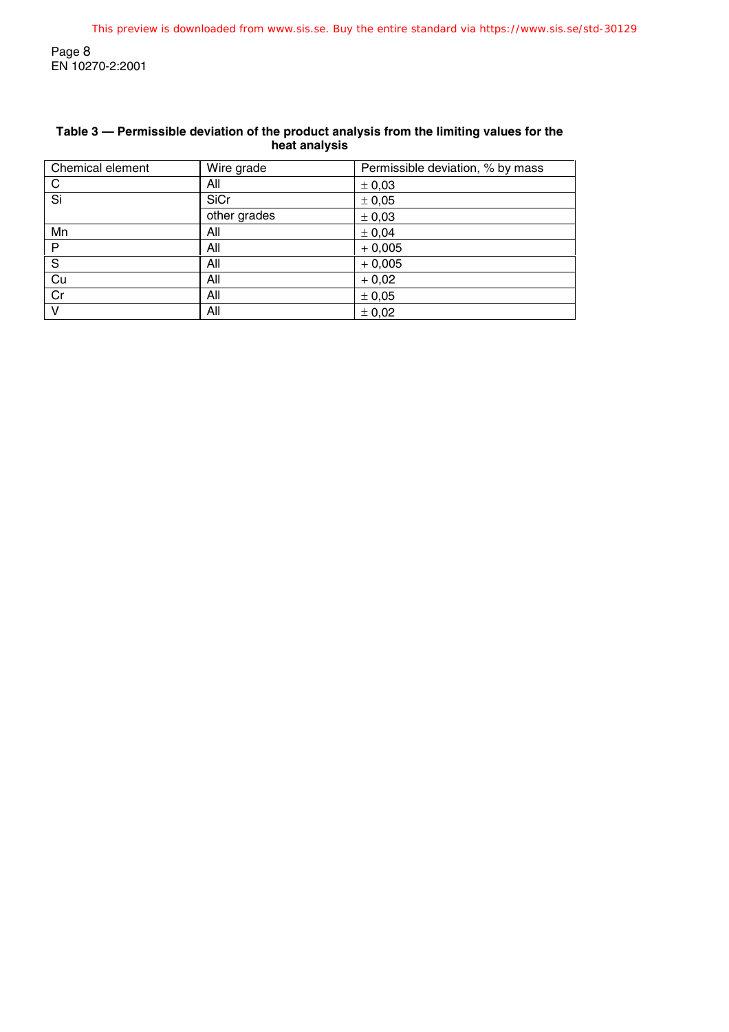Page 8 EN 10270-2:2001

| <b>Chemical element</b> | Wire grade   | Permissible deviation, % by mass |
|-------------------------|--------------|----------------------------------|
| C                       | All          | ± 0,03                           |
| Si                      | SiCr         | ± 0,05                           |
|                         | other grades | ± 0,03                           |
| Mn                      | All          | ± 0,04                           |
| P                       | All          | $+0,005$                         |
| ${\mathsf S}$           | All          | $+0,005$                         |
| Cu                      | All          | $+0,02$                          |
| $\overline{Cr}$         | All          | ± 0,05                           |
| V                       | All          | ± 0,02                           |

#### **Table 3 — Permissible deviation of the product analysis from the limiting values for the heat analysis**